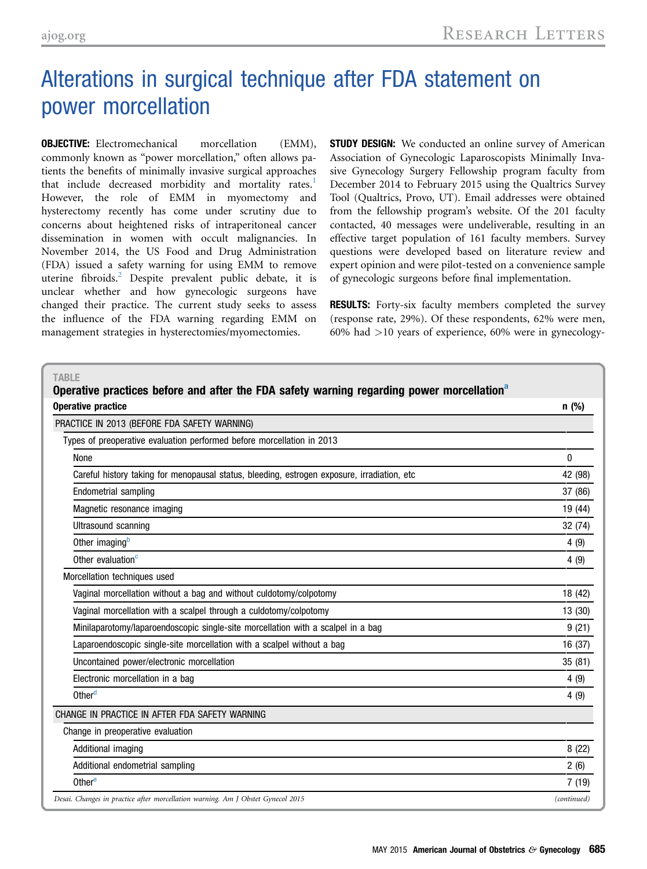## <span id="page-0-0"></span>Alterations in surgical technique after FDA statement on power morcellation

**OBJECTIVE:** Electromechanical morcellation (EMM), commonly known as "power morcellation," often allows patients the benefits of minimally invasive surgical approaches that include decreased morbidity and mortality rates.<sup>[1](#page-1-0)</sup> However, the role of EMM in myomectomy and hysterectomy recently has come under scrutiny due to concerns about heightened risks of intraperitoneal cancer dissemination in women with occult malignancies. In November 2014, the US Food and Drug Administration (FDA) issued a safety warning for using EMM to remove uterine fibroids.<sup>[2](#page-2-0)</sup> Despite prevalent public debate, it is unclear whether and how gynecologic surgeons have changed their practice. The current study seeks to assess the influence of the FDA warning regarding EMM on management strategies in hysterectomies/myomectomies.

**STUDY DESIGN:** We conducted an online survey of American Association of Gynecologic Laparoscopists Minimally Invasive Gynecology Surgery Fellowship program faculty from December 2014 to February 2015 using the Qualtrics Survey Tool (Qualtrics, Provo, UT). Email addresses were obtained from the fellowship program's website. Of the 201 faculty contacted, 40 messages were undeliverable, resulting in an effective target population of 161 faculty members. Survey questions were developed based on literature review and expert opinion and were pilot-tested on a convenience sample of gynecologic surgeons before final implementation.

**RESULTS:** Forty-six faculty members completed the survey (response rate, 29%). Of these respondents, 62% were men, 60% had >10 years of experience, 60% were in gynecology-

| <b>Operative practice</b>                                                                    | $n$ (%)      |
|----------------------------------------------------------------------------------------------|--------------|
| PRACTICE IN 2013 (BEFORE FDA SAFETY WARNING)                                                 |              |
| Types of preoperative evaluation performed before morcellation in 2013                       |              |
| None                                                                                         | $\mathbf{0}$ |
| Careful history taking for menopausal status, bleeding, estrogen exposure, irradiation, etc. | 42 (98)      |
| <b>Endometrial sampling</b>                                                                  | 37 (86)      |
| Magnetic resonance imaging                                                                   | 19 (44)      |
| Ultrasound scanning                                                                          | 32 (74)      |
| Other imagingb                                                                               | 4(9)         |
| Other evaluation <sup>c</sup>                                                                | 4(9)         |
| Morcellation techniques used                                                                 |              |
| Vaginal morcellation without a bag and without culdotomy/colpotomy                           | 18 (42)      |
| Vaginal morcellation with a scalpel through a culdotomy/colpotomy                            | 13(30)       |
| Minilaparotomy/laparoendoscopic single-site morcellation with a scalpel in a bag             | 9(21)        |
| Laparoendoscopic single-site morcellation with a scalpel without a bag                       | 16 (37)      |
| Uncontained power/electronic morcellation                                                    | 35(81)       |
| Electronic morcellation in a bag                                                             | 4(9)         |
| Other <sup>d</sup>                                                                           | 4(9)         |
| CHANGE IN PRACTICE IN AFTER FDA SAFETY WARNING                                               |              |
| Change in preoperative evaluation                                                            |              |
| Additional imaging                                                                           | 8(22)        |
| Additional endometrial sampling                                                              | 2(6)         |
| Other <sup>e</sup>                                                                           | 7(19)        |
| Desai. Changes in practice after morcellation warning. Am J Obstet Gynecol 2015              | (continued)  |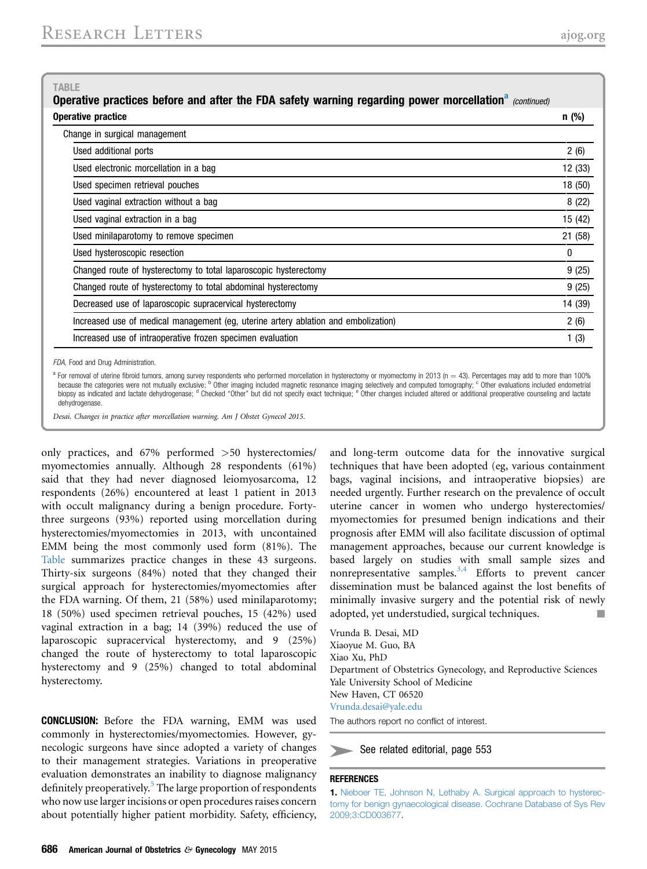## <span id="page-1-0"></span>**TABLE**

Operative practices before and after the FDA safety warning regarding power morcellation<sup>a</sup> (continued) Operative practice n (%) and the state of the state of the state of the state of the state of the state of the state of the state of the state of the state of the state of the state of the state of the state of the state o

| Change in surgical management                                                      |         |
|------------------------------------------------------------------------------------|---------|
| Used additional ports                                                              | 2(6)    |
| Used electronic morcellation in a bag                                              | 12 (33) |
| Used specimen retrieval pouches                                                    | 18 (50) |
| Used vaginal extraction without a bag                                              | 8(22)   |
| Used vaginal extraction in a bag                                                   | 15 (42) |
| Used minilaparotomy to remove specimen                                             | 21 (58) |
| Used hysteroscopic resection                                                       | 0       |
| Changed route of hysterectomy to total laparoscopic hysterectomy                   | 9(25)   |
| Changed route of hysterectomy to total abdominal hysterectomy                      | 9(25)   |
| Decreased use of laparoscopic supracervical hysterectomy                           | 14 (39) |
| Increased use of medical management (eq. uterine artery ablation and embolization) | 2(6)    |
| Increased use of intraoperative frozen specimen evaluation                         | 1(3)    |
|                                                                                    |         |

FDA, Food and Drug Administration.

 $a$  For removal of uterine fibroid tumors, among survey respondents who performed morcellation in hysterectomy or myomectomy in 2013 (n = 43). Percentages may add to more than 100% because the categories were not mutually exclusive; <sup>b</sup> Other imaging included magnetic resonance imaging selectively and computed tomography; <sup>c</sup> Other evaluations included endometrial biopsy as indicated and lactate dehydrogenase; <sup>d</sup> Checked "Other" but did not specify exact technique; e Other changes included altered or additional preoperative counseling and lactate dehydrogenase.

Desai. Changes in practice after morcellation warning. Am J Obstet Gynecol 2015.

only practices, and 67% performed >50 hysterectomies/ myomectomies annually. Although 28 respondents (61%) said that they had never diagnosed leiomyosarcoma, 12 respondents (26%) encountered at least 1 patient in 2013 with occult malignancy during a benign procedure. Fortythree surgeons (93%) reported using morcellation during hysterectomies/myomectomies in 2013, with uncontained EMM being the most commonly used form (81%). The [Table](#page-0-0) summarizes practice changes in these 43 surgeons. Thirty-six surgeons (84%) noted that they changed their surgical approach for hysterectomies/myomectomies after the FDA warning. Of them, 21 (58%) used minilaparotomy; 18 (50%) used specimen retrieval pouches, 15 (42%) used vaginal extraction in a bag; 14 (39%) reduced the use of laparoscopic supracervical hysterectomy, and 9 (25%) changed the route of hysterectomy to total laparoscopic hysterectomy and 9 (25%) changed to total abdominal hysterectomy.

**CONCLUSION:** Before the FDA warning, EMM was used commonly in hysterectomies/myomectomies. However, gynecologic surgeons have since adopted a variety of changes to their management strategies. Variations in preoperative evaluation demonstrates an inability to diagnose malignancy definitely preoperatively.<sup>[5](#page-2-0)</sup> The large proportion of respondents who now use larger incisions or open procedures raises concern about potentially higher patient morbidity. Safety, efficiency,

and long-term outcome data for the innovative surgical techniques that have been adopted (eg, various containment bags, vaginal incisions, and intraoperative biopsies) are needed urgently. Further research on the prevalence of occult uterine cancer in women who undergo hysterectomies/ myomectomies for presumed benign indications and their prognosis after EMM will also facilitate discussion of optimal management approaches, because our current knowledge is based largely on studies with small sample sizes and nonrepresentative samples. $3,4$  Efforts to prevent cancer dissemination must be balanced against the lost benefits of minimally invasive surgery and the potential risk of newly adopted, yet understudied, surgical techniques. -

Vrunda B. Desai, MD Xiaoyue M. Guo, BA Xiao Xu, PhD Department of Obstetrics Gynecology, and Reproductive Sciences Yale University School of Medicine New Haven, CT 06520 [Vrunda.desai@yale.edu](mailto:Vrunda.desai@yale.edu) The authors report no conflict of interest.

See related editorial, page 553

## **REFERENCES**

<sup>1.</sup> [Nieboer TE, Johnson N, Lethaby A. Surgical approach to hysterec](http://refhub.elsevier.com/S0002-9378(15)00163-5/sref1)[tomy for benign gynaecological disease. Cochrane Database of Sys Rev](http://refhub.elsevier.com/S0002-9378(15)00163-5/sref1) [2009;3:CD003677](http://refhub.elsevier.com/S0002-9378(15)00163-5/sref1).